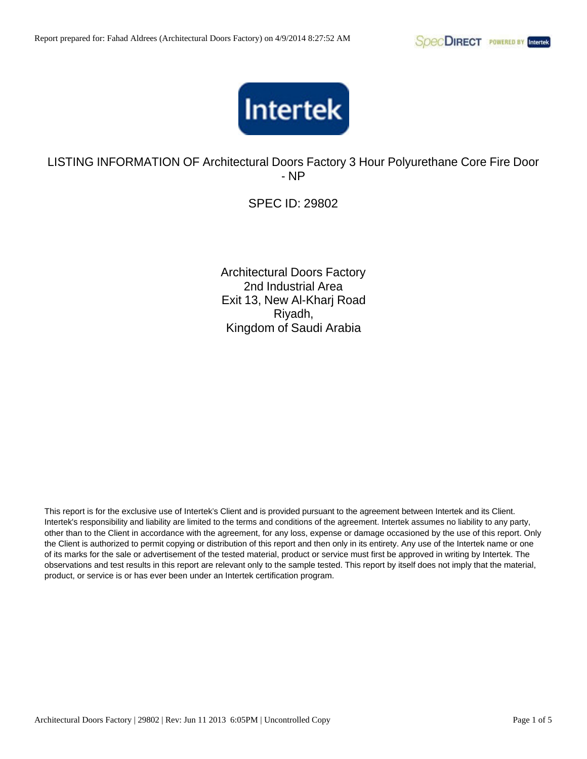

LISTING INFORMATION OF Architectural Doors Factory 3 Hour Polyurethane Core Fire Door - NP

SPEC ID: 29802

Architectural Doors Factory 2nd Industrial Area Exit 13, New Al-Kharj Road Riyadh, Kingdom of Saudi Arabia

This report is for the exclusive use of Intertek's Client and is provided pursuant to the agreement between Intertek and its Client. Intertek's responsibility and liability are limited to the terms and conditions of the agreement. Intertek assumes no liability to any party, other than to the Client in accordance with the agreement, for any loss, expense or damage occasioned by the use of this report. Only the Client is authorized to permit copying or distribution of this report and then only in its entirety. Any use of the Intertek name or one of its marks for the sale or advertisement of the tested material, product or service must first be approved in writing by Intertek. The observations and test results in this report are relevant only to the sample tested. This report by itself does not imply that the material, product, or service is or has ever been under an Intertek certification program.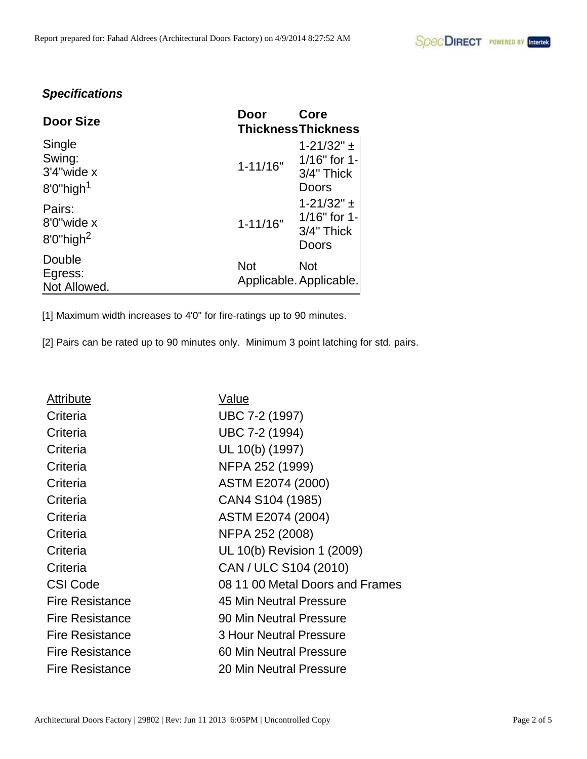### **Specifications**

| <b>Door Size</b>                                                | <b>Door</b>  | Core<br><b>Thickness Thickness</b>                    |
|-----------------------------------------------------------------|--------------|-------------------------------------------------------|
| Single<br>Swing:<br>$3'4''$ wide x<br>$8'0''$ high <sup>1</sup> | $1 - 11/16"$ | $1 - 21/32"$ ±<br>1/16" for 1-<br>3/4" Thick<br>Doors |
| Pairs:<br>8'0"wide x<br>$8'0''$ high <sup>2</sup>               | $1 - 11/16"$ | $1 - 21/32"$ ±<br>1/16" for 1-<br>3/4" Thick<br>Doors |
| Double<br>Egress:<br>Not Allowed.                               | <b>Not</b>   | <b>Not</b><br>Applicable. Applicable.                 |

[1] Maximum width increases to 4'0" for fire-ratings up to 90 minutes.

[2] Pairs can be rated up to 90 minutes only. Minimum 3 point latching for std. pairs.

| <b>Attribute</b>       | Value                           |
|------------------------|---------------------------------|
| Criteria               | UBC 7-2 (1997)                  |
| Criteria               | UBC 7-2 (1994)                  |
| Criteria               | UL 10(b) (1997)                 |
| Criteria               | NFPA 252 (1999)                 |
| Criteria               | ASTM E2074 (2000)               |
| Criteria               | CAN4 S104 (1985)                |
| Criteria               | ASTM E2074 (2004)               |
| Criteria               | NFPA 252 (2008)                 |
| Criteria               | UL 10(b) Revision 1 (2009)      |
| Criteria               | CAN / ULC S104 (2010)           |
| <b>CSI Code</b>        | 08 11 00 Metal Doors and Frames |
| <b>Fire Resistance</b> | 45 Min Neutral Pressure         |
| <b>Fire Resistance</b> | 90 Min Neutral Pressure         |
| <b>Fire Resistance</b> | <b>3 Hour Neutral Pressure</b>  |
| <b>Fire Resistance</b> | 60 Min Neutral Pressure         |
| <b>Fire Resistance</b> | 20 Min Neutral Pressure         |
|                        |                                 |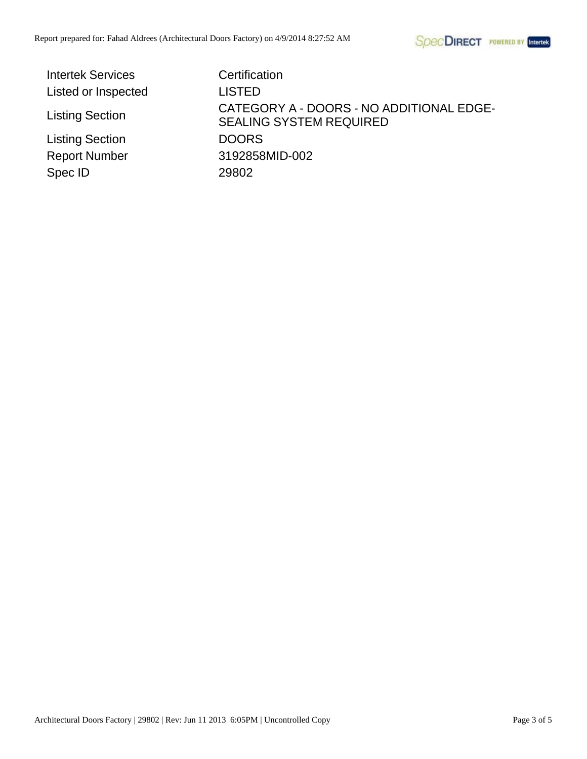

**Intertek Services** Certification Listed or Inspected LISTED

Listing Section DOORS Spec ID 29802

Listing Section CATEGORY A - DOORS - NO ADDITIONAL EDGE-SEALING SYSTEM REQUIRED Report Number 3192858MID-002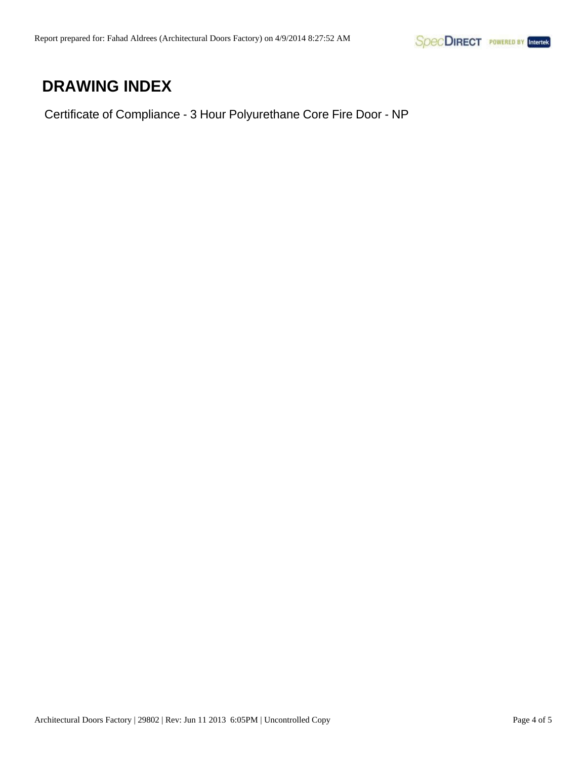# **DRAWING INDEX**

Certificate of Compliance - 3 Hour Polyurethane Core Fire Door - NP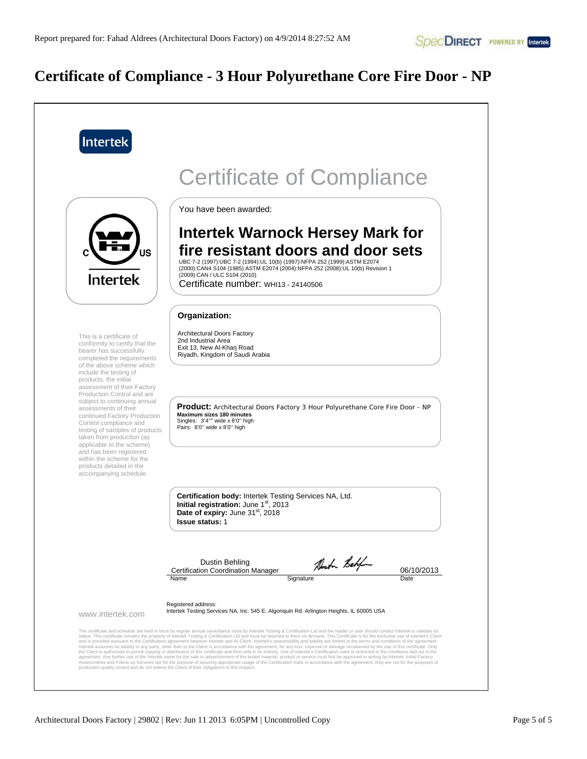# **Certificate of Compliance - 3 Hour Polyurethane Core Fire Door - NP**

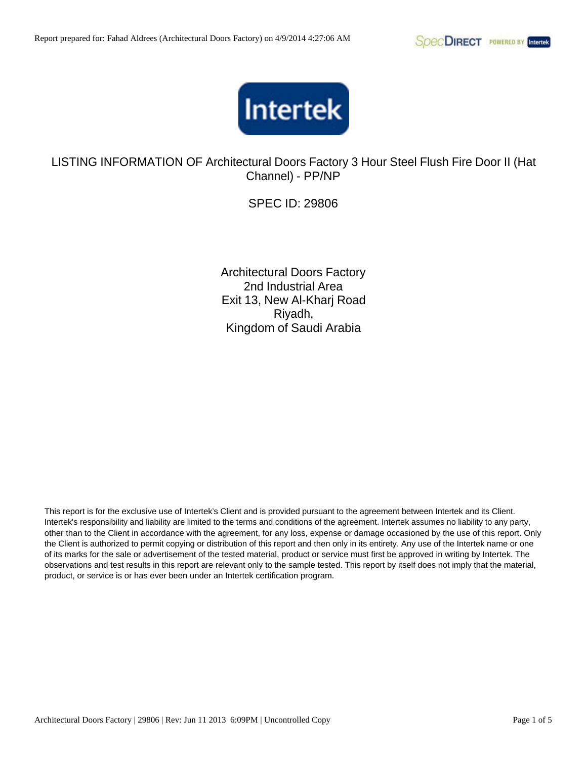

LISTING INFORMATION OF Architectural Doors Factory 3 Hour Steel Flush Fire Door II (Hat Channel) - PP/NP

SPEC ID: 29806

Architectural Doors Factory 2nd Industrial Area Exit 13, New Al-Kharj Road Riyadh, Kingdom of Saudi Arabia

This report is for the exclusive use of Intertek's Client and is provided pursuant to the agreement between Intertek and its Client. Intertek's responsibility and liability are limited to the terms and conditions of the agreement. Intertek assumes no liability to any party, other than to the Client in accordance with the agreement, for any loss, expense or damage occasioned by the use of this report. Only the Client is authorized to permit copying or distribution of this report and then only in its entirety. Any use of the Intertek name or one of its marks for the sale or advertisement of the tested material, product or service must first be approved in writing by Intertek. The observations and test results in this report are relevant only to the sample tested. This report by itself does not imply that the material, product, or service is or has ever been under an Intertek certification program.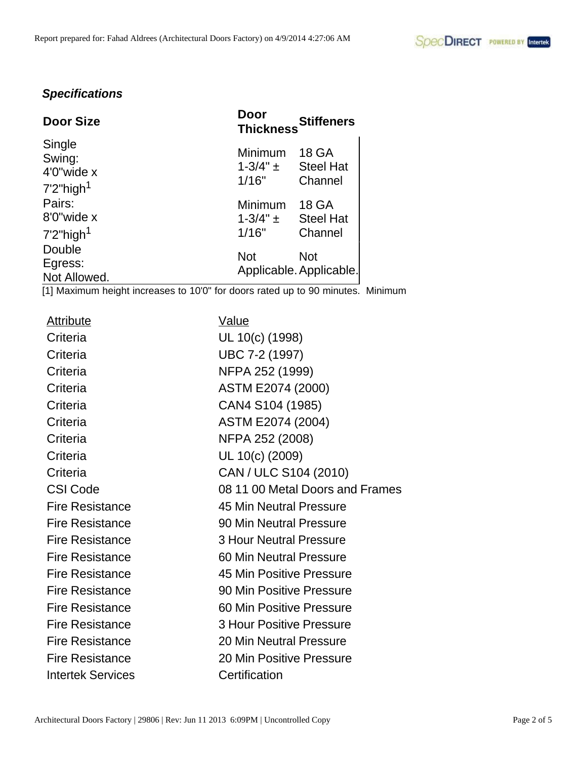#### **Specifications**

| <b>Door Size</b>                                                | <b>Door</b><br><b>Stiffeners</b><br><b>Thickness</b>                              |
|-----------------------------------------------------------------|-----------------------------------------------------------------------------------|
| Single<br>Swing:<br>$4'0''$ wide x<br>$7'2''$ high <sup>1</sup> | Minimum<br><b>18 GA</b><br>$1 - 3/4" \pm$<br><b>Steel Hat</b><br>1/16"<br>Channel |
| Pairs:<br>8'0"wide x<br>$7'2''$ high <sup>1</sup>               | Minimum<br><b>18 GA</b><br>$1 - 3/4" \pm$<br><b>Steel Hat</b><br>1/16"<br>Channel |
| Double<br>Egress:<br>Not Allowed.                               | <b>Not</b><br><b>Not</b><br>Applicable. Applicable.                               |

[1] Maximum height increases to 10'0" for doors rated up to 90 minutes. Minimum

Attribute Value **Intertek Services** Certification

Criteria UL 10(c) (1998) Criteria UBC 7-2 (1997) Criteria NFPA 252 (1999) Criteria ASTM E2074 (2000) Criteria CAN4 S104 (1985) Criteria ASTM E2074 (2004) Criteria NFPA 252 (2008) Criteria UL 10(c) (2009) Criteria CAN / ULC S104 (2010) CSI Code 08 11 00 Metal Doors and Frames Fire Resistance 45 Min Neutral Pressure Fire Resistance 90 Min Neutral Pressure Fire Resistance 3 Hour Neutral Pressure Fire Resistance 60 Min Neutral Pressure Fire Resistance 45 Min Positive Pressure Fire Resistance 90 Min Positive Pressure Fire Resistance 60 Min Positive Pressure Fire Resistance 3 Hour Positive Pressure Fire Resistance 20 Min Neutral Pressure Fire Resistance 20 Min Positive Pressure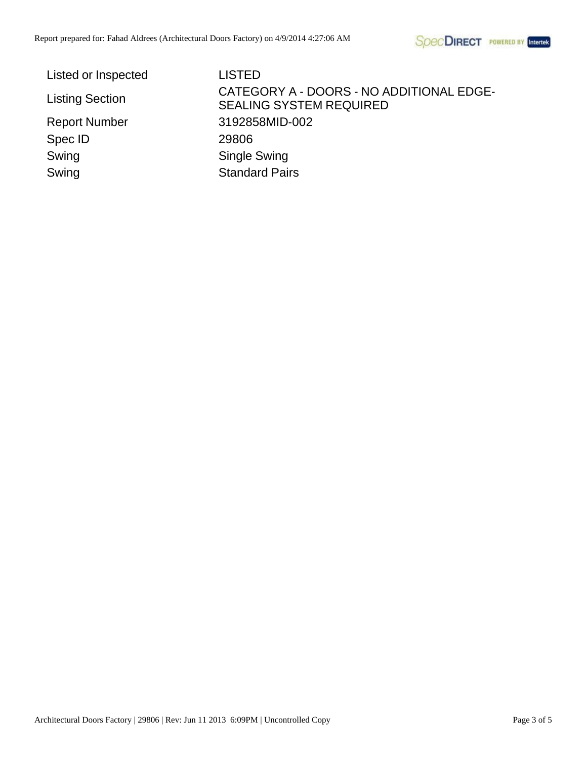|  | Listed or Inspected |
|--|---------------------|
|  |                     |

Spec ID 29806 Swing Swing Single Swing

LISTED Listing Section CATEGORY A - DOORS - NO ADDITIONAL EDGE-SEALING SYSTEM REQUIRED Report Number 3192858MID-002 Swing Standard Pairs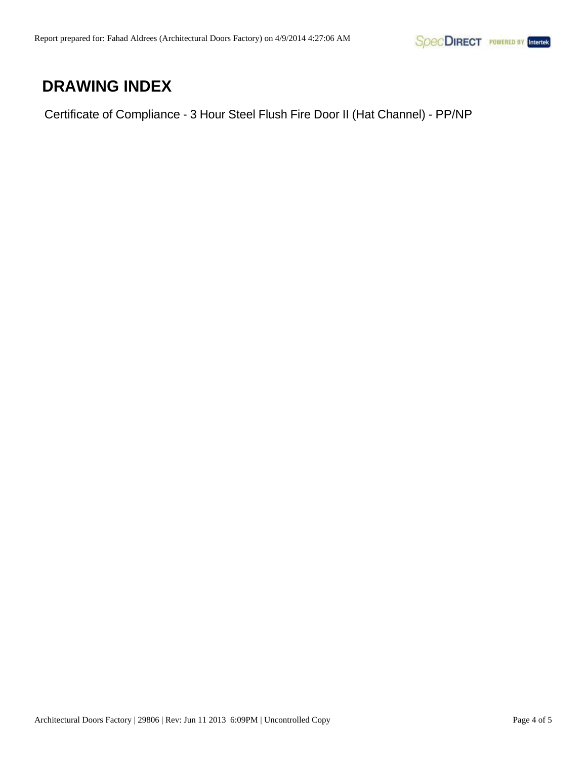# **DRAWING INDEX**

Certificate of Compliance - 3 Hour Steel Flush Fire Door II (Hat Channel) - PP/NP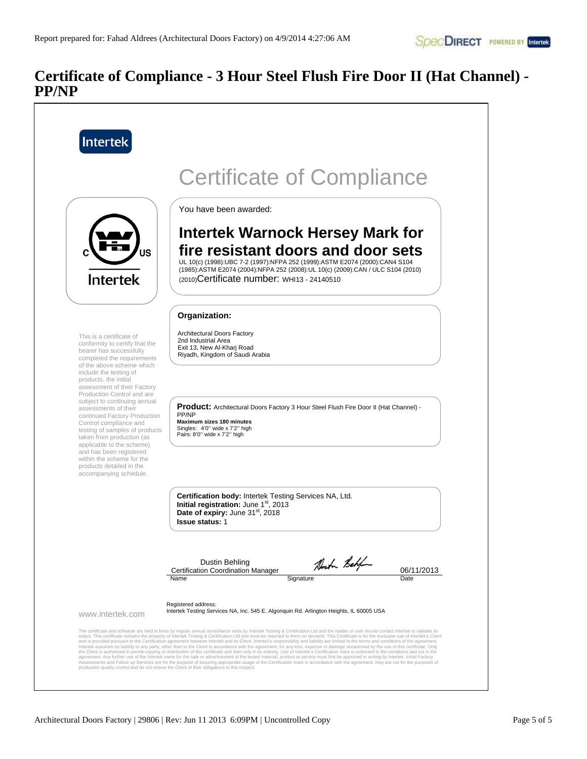# **Certificate of Compliance - 3 Hour Steel Flush Fire Door II (Hat Channel) - PP/NP**

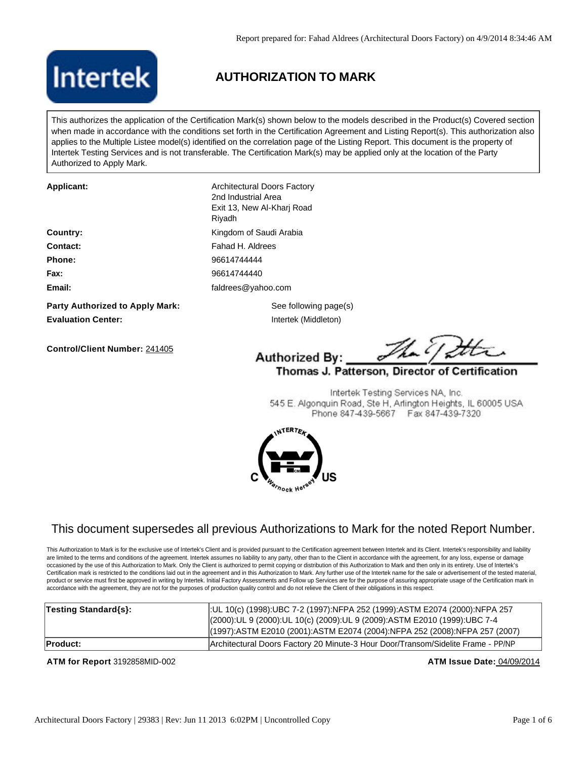



# **AUTHORIZATION TO MARK**

This authorizes the application of the Certification Mark(s) shown below to the models described in the Product(s) Covered section when made in accordance with the conditions set forth in the Certification Agreement and Listing Report(s). This authorization also applies to the Multiple Listee model(s) identified on the correlation page of the Listing Report. This document is the property of Intertek Testing Services and is not transferable. The Certification Mark(s) may be applied only at the location of the Party Authorized to Apply Mark.

| <b>Applicant:</b>               | <b>Architectural Doors Factory</b><br>2nd Industrial Area<br>Exit 13, New Al-Kharj Road<br>Riyadh |  |
|---------------------------------|---------------------------------------------------------------------------------------------------|--|
| Country:                        | Kingdom of Saudi Arabia                                                                           |  |
| Contact:                        | Fahad H. Aldrees                                                                                  |  |
| Phone:                          | 96614744444                                                                                       |  |
| Fax:                            | 96614744440                                                                                       |  |
| Email:                          | faldrees@yahoo.com                                                                                |  |
| Party Authorized to Apply Mark: | See following page(s)                                                                             |  |
| <b>Evaluation Center:</b>       | Intertek (Middleton)                                                                              |  |

**Control/Client Number:** 241405

**Authorized By:** 

Thomas J. Patterson, Director of Certification

Intertek Testing Services NA, Inc. 545 E. Algonquin Road, Ste H, Arlington Heights, IL 60005 USA Phone 847-439-5667 Fax 847-439-7320



### This document supersedes all previous Authorizations to Mark for the noted Report Number.

This Authorization to Mark is for the exclusive use of Intertek's Client and is provided pursuant to the Certification agreement between Intertek and its Client. Intertek's responsibility and liability are limited to the terms and conditions of the agreement. Intertek assumes no liability to any party, other than to the Client in accordance with the agreement, for any loss, expense or damage occasioned by the use of this Authorization to Mark. Only the Client is authorized to permit copying or distribution of this Authorization to Mark and then only in its entirety. Use of Intertek's Certification mark is restricted to the conditions laid out in the agreement and in this Authorization to Mark. Any further use of the Intertek name for the sale or advertisement of the tested material, product or service must first be approved in writing by Intertek. Initial Factory Assessments and Follow up Services are for the purpose of assuring appropriate usage of the Certification mark in accordance with the agreement, they are not for the purposes of production quality control and do not relieve the Client of their obligations in this respect.

| <b>Testing Standard{s}:</b> | :UL 10(c) (1998):UBC 7-2 (1997):NFPA 252 (1999):ASTM E2074 (2000):NFPA 257<br>(2000):UL 9 (2000):UL 10(c) (2009):UL 9 (2009):ASTM E2010 (1999):UBC 7-4 |
|-----------------------------|--------------------------------------------------------------------------------------------------------------------------------------------------------|
|                             | (1997): ASTM E2010 (2001): ASTM E2074 (2004): NFPA 252 (2008): NFPA 257 (2007)                                                                         |
| <b>Product:</b>             | Architectural Doors Factory 20 Minute-3 Hour Door/Transom/Sidelite Frame - PP/NP                                                                       |

#### **ATM for Report** 3192858MID-002 **ATM Issue Date:** 04/09/2014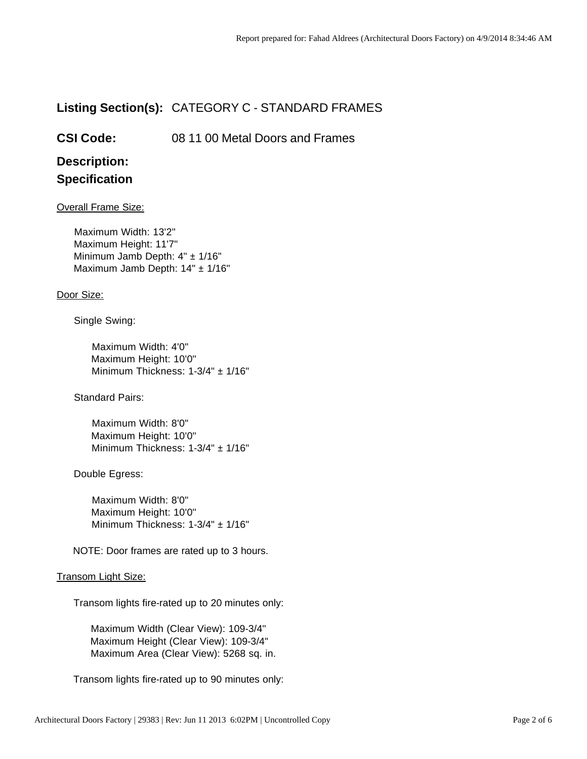#### **Listing Section(s):** CATEGORY C - STANDARD FRAMES

**CSI Code:** 08 11 00 Metal Doors and Frames

# **Description:**

### **Specification**

#### **Overall Frame Size:**

 Maximum Width: 13'2" Maximum Height: 11'7" Minimum Jamb Depth: 4" ± 1/16" Maximum Jamb Depth: 14" ± 1/16"

#### Door Size:

Single Swing:

 Maximum Width: 4'0" Maximum Height: 10'0" Minimum Thickness: 1-3/4" ± 1/16"

Standard Pairs:

 Maximum Width: 8'0" Maximum Height: 10'0" Minimum Thickness: 1-3/4" ± 1/16"

Double Egress:

 Maximum Width: 8'0" Maximum Height: 10'0" Minimum Thickness: 1-3/4" ± 1/16"

NOTE: Door frames are rated up to 3 hours.

#### Transom Light Size:

Transom lights fire-rated up to 20 minutes only:

 Maximum Width (Clear View): 109-3/4" Maximum Height (Clear View): 109-3/4" Maximum Area (Clear View): 5268 sq. in.

Transom lights fire-rated up to 90 minutes only: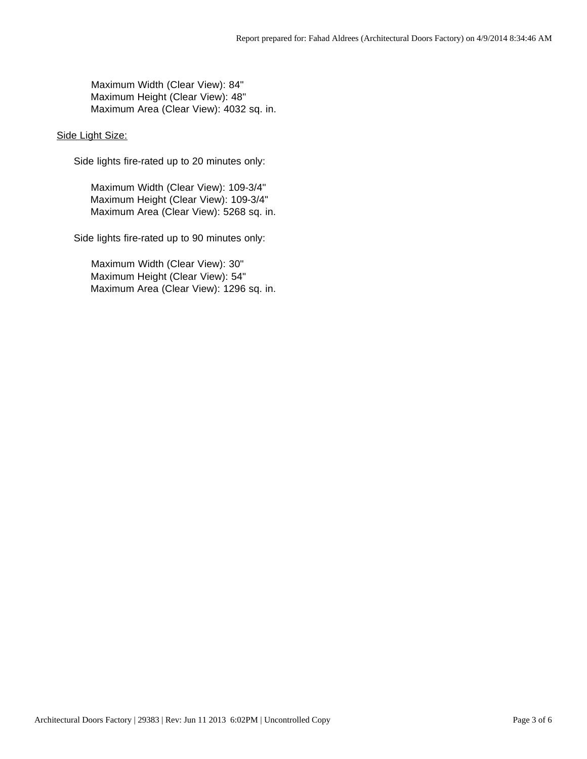Maximum Width (Clear View): 84" Maximum Height (Clear View): 48" Maximum Area (Clear View): 4032 sq. in.

#### Side Light Size:

Side lights fire-rated up to 20 minutes only:

 Maximum Width (Clear View): 109-3/4" Maximum Height (Clear View): 109-3/4" Maximum Area (Clear View): 5268 sq. in.

Side lights fire-rated up to 90 minutes only:

 Maximum Width (Clear View): 30" Maximum Height (Clear View): 54" Maximum Area (Clear View): 1296 sq. in.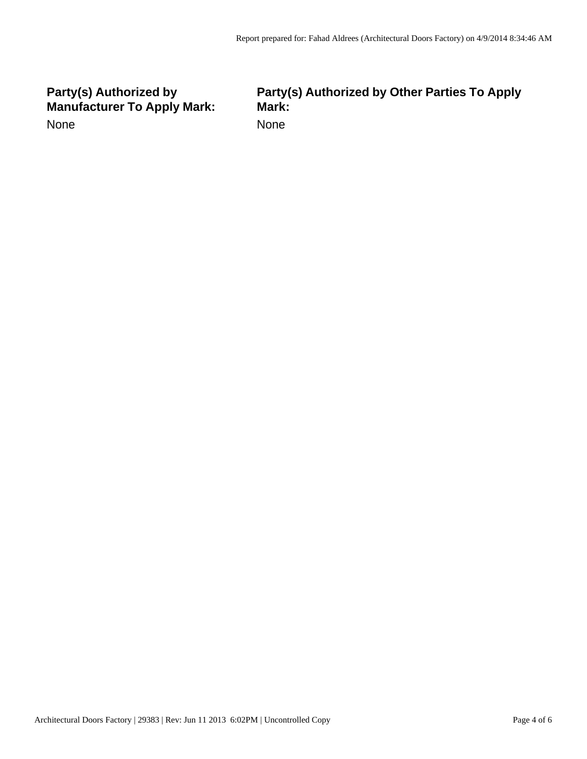## **Party(s) Authorized by Manufacturer To Apply Mark:** None

## **Party(s) Authorized by Other Parties To Apply Mark:** None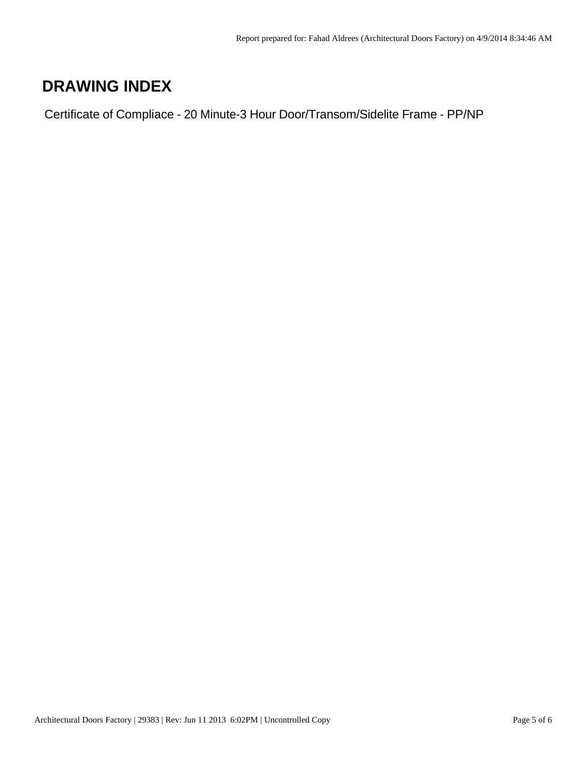# **DRAWING INDEX**

Certificate of Compliace - 20 Minute-3 Hour Door/Transom/Sidelite Frame - PP/NP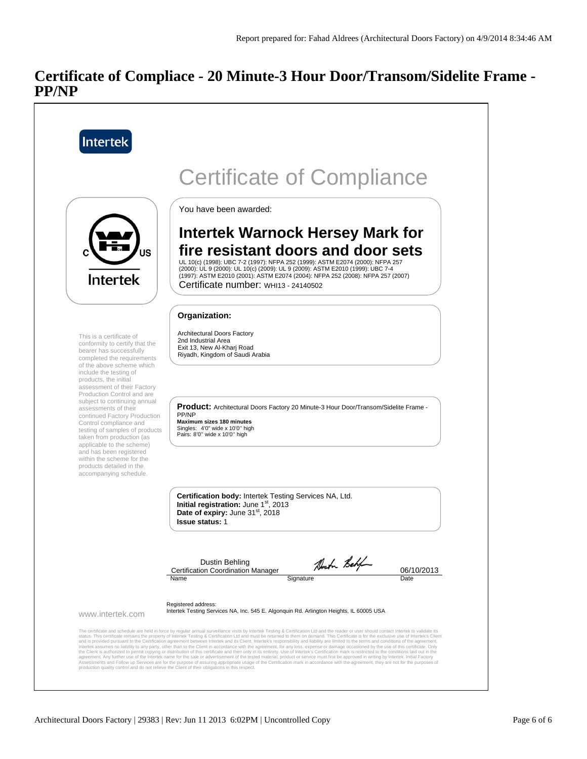## **Certificate of Compliace - 20 Minute-3 Hour Door/Transom/Sidelite Frame - PP/NP**

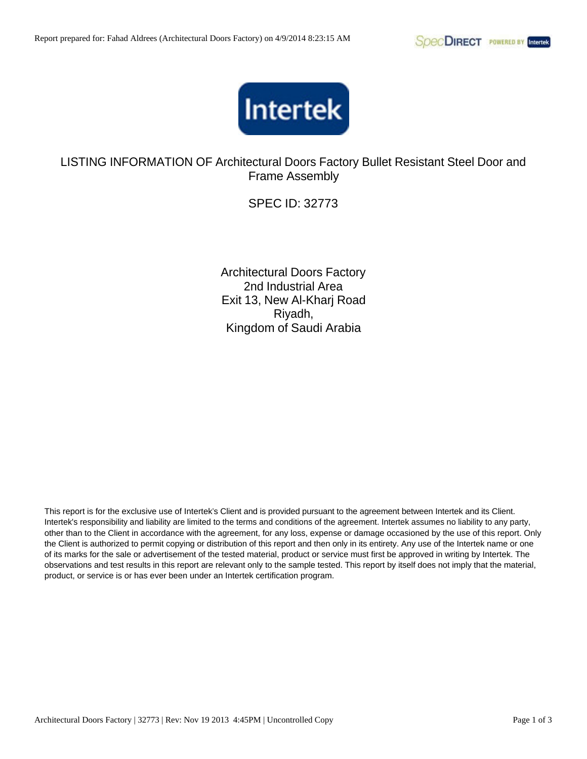

LISTING INFORMATION OF Architectural Doors Factory Bullet Resistant Steel Door and Frame Assembly

SPEC ID: 32773

Architectural Doors Factory 2nd Industrial Area Exit 13, New Al-Kharj Road Riyadh, Kingdom of Saudi Arabia

This report is for the exclusive use of Intertek's Client and is provided pursuant to the agreement between Intertek and its Client. Intertek's responsibility and liability are limited to the terms and conditions of the agreement. Intertek assumes no liability to any party, other than to the Client in accordance with the agreement, for any loss, expense or damage occasioned by the use of this report. Only the Client is authorized to permit copying or distribution of this report and then only in its entirety. Any use of the Intertek name or one of its marks for the sale or advertisement of the tested material, product or service must first be approved in writing by Intertek. The observations and test results in this report are relevant only to the sample tested. This report by itself does not imply that the material, product, or service is or has ever been under an Intertek certification program.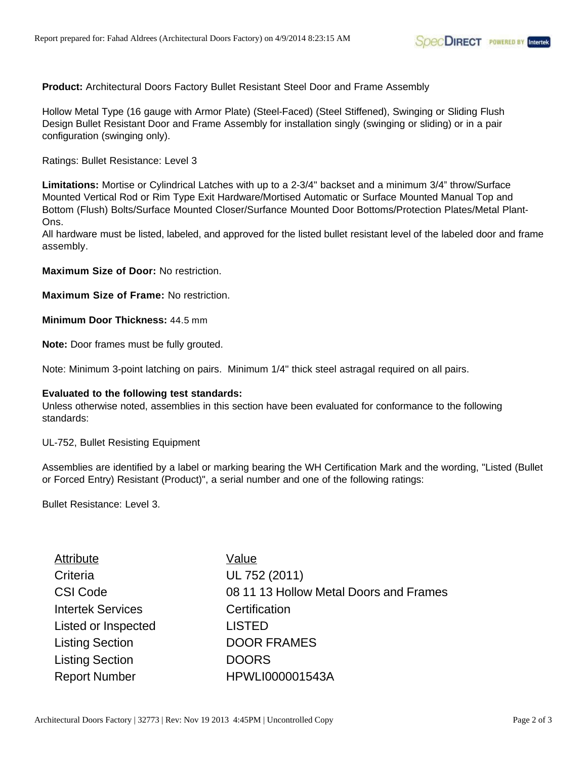**Product:** Architectural Doors Factory Bullet Resistant Steel Door and Frame Assembly

Hollow Metal Type (16 gauge with Armor Plate) (Steel-Faced) (Steel Stiffened), Swinging or Sliding Flush Design Bullet Resistant Door and Frame Assembly for installation singly (swinging or sliding) or in a pair configuration (swinging only).

Ratings: Bullet Resistance: Level 3

**Limitations:** Mortise or Cylindrical Latches with up to a 2-3/4" backset and a minimum 3/4" throw/Surface Mounted Vertical Rod or Rim Type Exit Hardware/Mortised Automatic or Surface Mounted Manual Top and Bottom (Flush) Bolts/Surface Mounted Closer/Surfance Mounted Door Bottoms/Protection Plates/Metal Plant-Ons.

All hardware must be listed, labeled, and approved for the listed bullet resistant level of the labeled door and frame assembly.

**Maximum Size of Door:** No restriction.

**Maximum Size of Frame:** No restriction.

**Minimum Door Thickness:** 44.5 mm

**Note:** Door frames must be fully grouted.

Note: Minimum 3-point latching on pairs. Minimum 1/4" thick steel astragal required on all pairs.

#### **Evaluated to the following test standards:**

Unless otherwise noted, assemblies in this section have been evaluated for conformance to the following standards:

UL-752, Bullet Resisting Equipment

Assemblies are identified by a label or marking bearing the WH Certification Mark and the wording, "Listed (Bullet or Forced Entry) Resistant (Product)", a serial number and one of the following ratings:

Bullet Resistance: Level 3.

| <b>Attribute</b>         | Value                                  |
|--------------------------|----------------------------------------|
| Criteria                 | UL 752 (2011)                          |
| <b>CSI Code</b>          | 08 11 13 Hollow Metal Doors and Frames |
| <b>Intertek Services</b> | Certification                          |
| Listed or Inspected      | <b>LISTED</b>                          |
| <b>Listing Section</b>   | <b>DOOR FRAMES</b>                     |
| <b>Listing Section</b>   | <b>DOORS</b>                           |
| <b>Report Number</b>     | <b>HPWLI000001543A</b>                 |
|                          |                                        |